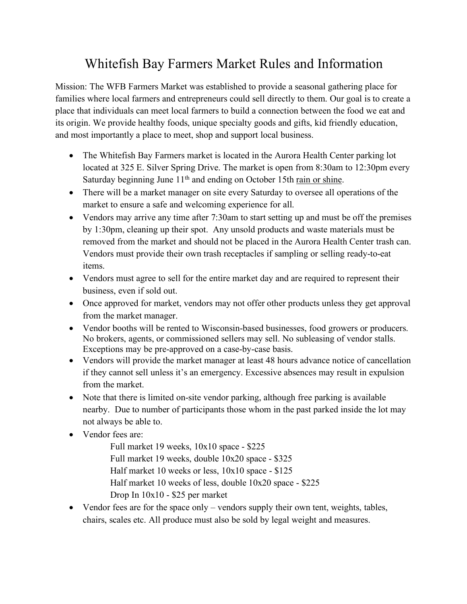## Whitefish Bay Farmers Market Rules and Information

Mission: The WFB Farmers Market was established to provide a seasonal gathering place for families where local farmers and entrepreneurs could sell directly to them. Our goal is to create a place that individuals can meet local farmers to build a connection between the food we eat and its origin. We provide healthy foods, unique specialty goods and gifts, kid friendly education, and most importantly a place to meet, shop and support local business.

- The Whitefish Bay Farmers market is located in the Aurora Health Center parking lot located at 325 E. Silver Spring Drive. The market is open from 8:30am to 12:30pm every Saturday beginning June 11<sup>th</sup> and ending on October 15th rain or shine.
- There will be a market manager on site every Saturday to oversee all operations of the market to ensure a safe and welcoming experience for all.
- Vendors may arrive any time after 7:30am to start setting up and must be off the premises by 1:30pm, cleaning up their spot. Any unsold products and waste materials must be removed from the market and should not be placed in the Aurora Health Center trash can. Vendors must provide their own trash receptacles if sampling or selling ready-to-eat items.
- Vendors must agree to sell for the entire market day and are required to represent their business, even if sold out.
- Once approved for market, vendors may not offer other products unless they get approval from the market manager.
- Vendor booths will be rented to Wisconsin-based businesses, food growers or producers. No brokers, agents, or commissioned sellers may sell. No subleasing of vendor stalls. Exceptions may be pre-approved on a case-by-case basis.
- Vendors will provide the market manager at least 48 hours advance notice of cancellation if they cannot sell unless it's an emergency. Excessive absences may result in expulsion from the market.
- Note that there is limited on-site vendor parking, although free parking is available nearby. Due to number of participants those whom in the past parked inside the lot may not always be able to.
- Vendor fees are:

Full market 19 weeks, 10x10 space - \$225 Full market 19 weeks, double 10x20 space - \$325 Half market 10 weeks or less, 10x10 space - \$125 Half market 10 weeks of less, double 10x20 space - \$225 Drop In 10x10 - \$25 per market

• Vendor fees are for the space only – vendors supply their own tent, weights, tables, chairs, scales etc. All produce must also be sold by legal weight and measures.